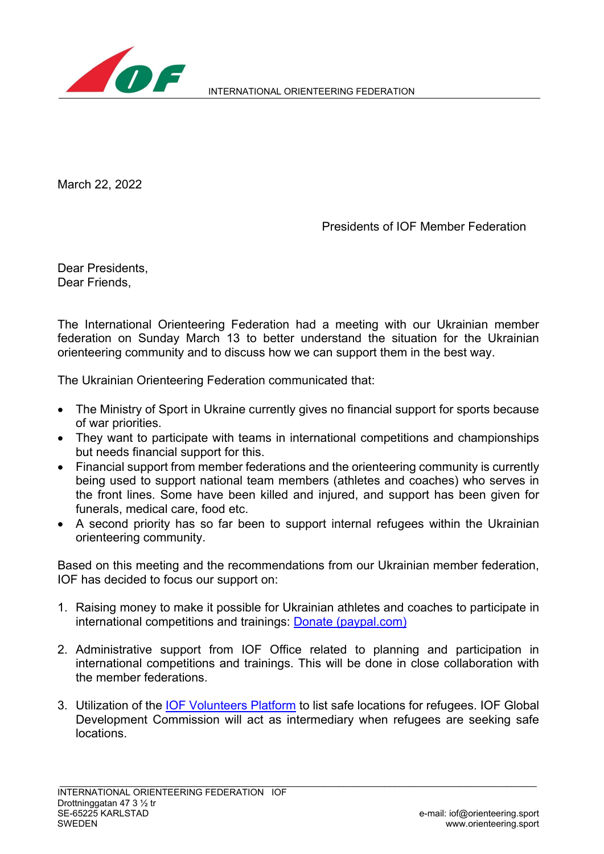

March 22, 2022

Presidents of IOF Member Federation

Dear Presidents, Dear Friends,

The International Orienteering Federation had a meeting with our Ukrainian member federation on Sunday March 13 to better understand the situation for the Ukrainian orienteering community and to discuss how we can support them in the best way.

The Ukrainian Orienteering Federation communicated that:

- The Ministry of Sport in Ukraine currently gives no financial support for sports because of war priorities.
- They want to participate with teams in international competitions and championships but needs financial support for this.
- Financial support from member federations and the orienteering community is currently being used to support national team members (athletes and coaches) who serves in the front lines. Some have been killed and injured, and support has been given for funerals, medical care, food etc.
- A second priority has so far been to support internal refugees within the Ukrainian orienteering community.

Based on this meeting and the recommendations from our Ukrainian member federation, IOF has decided to focus our support on:

- 1. Raising money to make it possible for Ukrainian athletes and coaches to participate in international competitions and trainings: **Donate (paypal.com)**
- 2. Administrative support from IOF Office related to planning and participation in international competitions and trainings. This will be done in close collaboration with the member federations.
- 3. Utilization of the [IOF Volunteers](https://volunteers.orienteering.sport/) Platform to list safe locations for refugees. IOF Global Development Commission will act as intermediary when refugees are seeking safe locations.